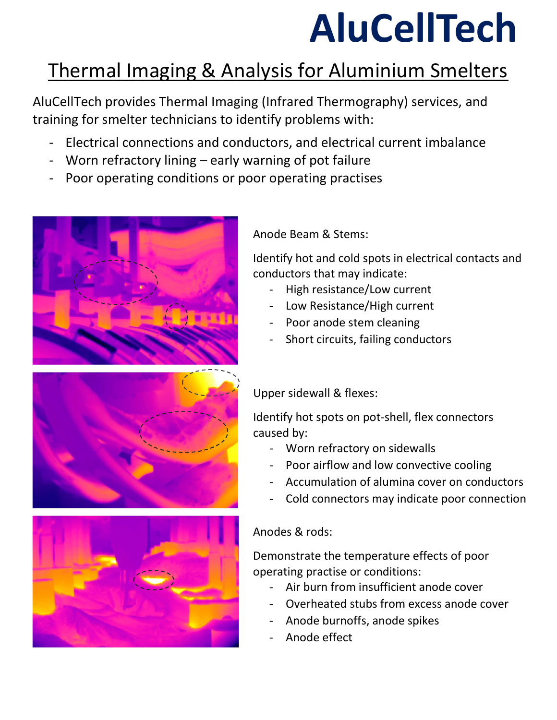## AluCellTech

### Thermal Imaging & Analysis for Aluminium Smelters

AluCellTech provides Thermal Imaging (Infrared Thermography) services, and training for smelter technicians to identify problems with:

- Electrical connections and conductors, and electrical current imbalance
- Worn refractory lining  $-$  early warning of pot failure
- Poor operating conditions or poor operating practises





Identify hot and cold spots in electrical contacts and conductors that may indicate:

- High resistance/Low current
- Low Resistance/High current
- Poor anode stem cleaning
- Short circuits, failing conductors





#### Upper sidewall & flexes:

Identify hot spots on pot-shell, flex connectors caused by:

- Worn refractory on sidewalls
- Poor airflow and low convective cooling
- Accumulation of alumina cover on conductors
- Cold connectors may indicate poor connection

#### Anodes & rods:

Demonstrate the temperature effects of poor operating practise or conditions:

- Air burn from insufficient anode cover
- Overheated stubs from excess anode cover
- Anode burnoffs, anode spikes
- Anode effect